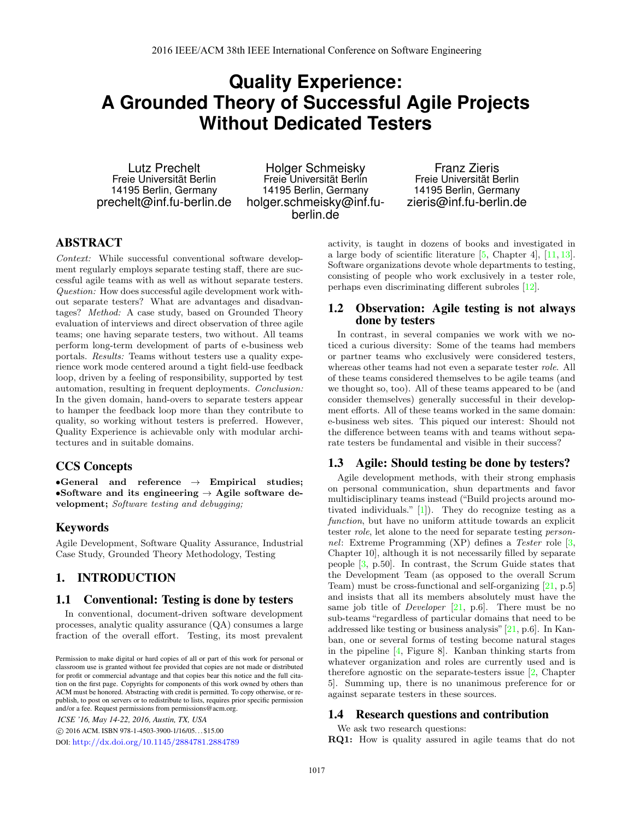# **Quality Experience: A Grounded Theory of Successful Agile Projects Without Dedicated Testers**

Lutz Prechelt Freie Universität Berlin 14195 Berlin, Germany prechelt@inf.fu-berlin.de

Holger Schmeisky Freie Universität Berlin 14195 Berlin, Germany holger.schmeisky@inf.fuberlin.de

Franz Zieris Freie Universität Berlin 14195 Berlin, Germany zieris@inf.fu-berlin.de

# ABSTRACT

Context: While successful conventional software development regularly employs separate testing staff, there are successful agile teams with as well as without separate testers. Question: How does successful agile development work without separate testers? What are advantages and disadvantages? Method: A case study, based on Grounded Theory evaluation of interviews and direct observation of three agile teams; one having separate testers, two without. All teams perform long-term development of parts of e-business web portals. Results: Teams without testers use a quality experience work mode centered around a tight field-use feedback loop, driven by a feeling of responsibility, supported by test automation, resulting in frequent deployments. Conclusion: In the given domain, hand-overs to separate testers appear to hamper the feedback loop more than they contribute to quality, so working without testers is preferred. However, Quality Experience is achievable only with modular architectures and in suitable domains.

# CCS Concepts

•General and reference  $\rightarrow$  Empirical studies; •Software and its engineering  $\rightarrow$  Agile software development; Software testing and debugging;

# Keywords

Agile Development, Software Quality Assurance, Industrial Case Study, Grounded Theory Methodology, Testing

# 1. INTRODUCTION

## 1.1 Conventional: Testing is done by testers

In conventional, document-driven software development processes, analytic quality assurance (QA) consumes a large fraction of the overall effort. Testing, its most prevalent

*ICSE '16, May 14-22, 2016, Austin, TX, USA*

DOI: <http://dx.doi.org/10.1145/2884781.2884789>

activity, is taught in dozens of books and investigated in a large body of scientific literature [5, Chapter 4], [11, 13]. Software organizations devote whole departments to testing, consisting of people who work exclusively in a tester role, perhaps even discriminating different subroles [12].

# 1.2 Observation: Agile testing is not always done by testers

In contrast, in several companies we work with we noticed a curious diversity: Some of the teams had members or partner teams who exclusively were considered testers, whereas other teams had not even a separate tester role. All of these teams considered themselves to be agile teams (and we thought so, too). All of these teams appeared to be (and consider themselves) generally successful in their development efforts. All of these teams worked in the same domain: e-business web sites. This piqued our interest: Should not the difference between teams with and teams without separate testers be fundamental and visible in their success?

## 1.3 Agile: Should testing be done by testers?

Agile development methods, with their strong emphasis on personal communication, shun departments and favor multidisciplinary teams instead ("Build projects around motivated individuals." [1]). They do recognize testing as a function, but have no uniform attitude towards an explicit tester role, let alone to the need for separate testing personnel: Extreme Programming (XP) defines a Tester role [3, Chapter 10], although it is not necessarily filled by separate people [3, p.50]. In contrast, the Scrum Guide states that the Development Team (as opposed to the overall Scrum Team) must be cross-functional and self-organizing [21, p.5] and insists that all its members absolutely must have the same job title of *Developer*  $[21, p.6]$ . There must be no sub-teams "regardless of particular domains that need to be addressed like testing or business analysis"[21, p.6]. In Kanban, one or several forms of testing become natural stages in the pipeline [4, Figure 8]. Kanban thinking starts from whatever organization and roles are currently used and is therefore agnostic on the separate-testers issue [2, Chapter 5]. Summing up, there is no unanimous preference for or against separate testers in these sources.

#### 1.4 Research questions and contribution

We ask two research questions:

RQ1: How is quality assured in agile teams that do not

Permission to make digital or hard copies of all or part of this work for personal or classroom use is granted without fee provided that copies are not made or distributed for profit or commercial advantage and that copies bear this notice and the full citation on the first page. Copyrights for components of this work owned by others than ACM must be honored. Abstracting with credit is permitted. To copy otherwise, or republish, to post on servers or to redistribute to lists, requires prior specific permission and/or a fee. Request permissions from permissions@acm.org.

c 2016 ACM. ISBN 978-1-4503-3900-1/16/05. . . \$15.00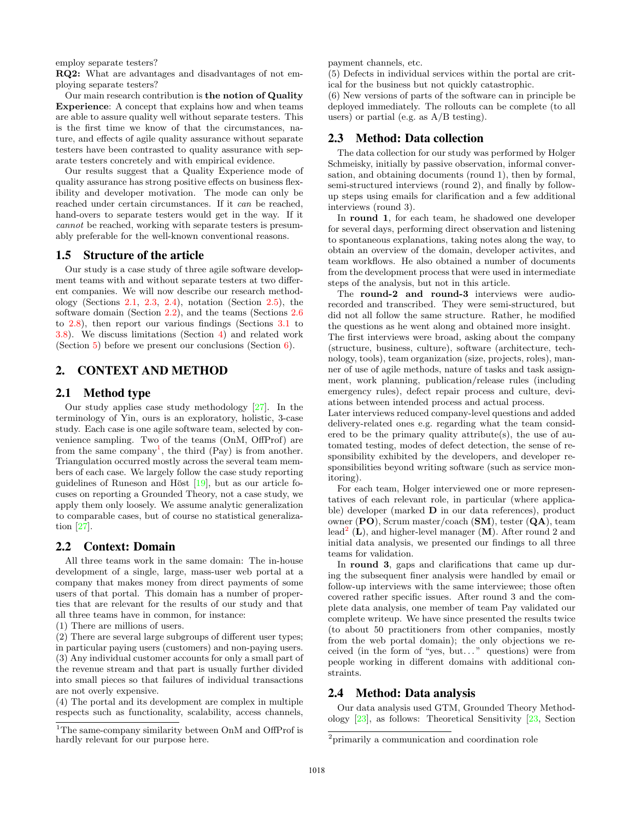employ separate testers?

RQ2: What are advantages and disadvantages of not employing separate testers?

Our main research contribution is the notion of Quality Experience: A concept that explains how and when teams are able to assure quality well without separate testers. This is the first time we know of that the circumstances, nature, and effects of agile quality assurance without separate testers have been contrasted to quality assurance with separate testers concretely and with empirical evidence.

Our results suggest that a Quality Experience mode of quality assurance has strong positive effects on business flexibility and developer motivation. The mode can only be reached under certain circumstances. If it can be reached, hand-overs to separate testers would get in the way. If it cannot be reached, working with separate testers is presumably preferable for the well-known conventional reasons.

#### 1.5 Structure of the article

Our study is a case study of three agile software development teams with and without separate testers at two different companies. We will now describe our research methodology (Sections 2.1, 2.3, 2.4), notation (Section  $2.5$ ), the software domain (Section 2.2), and the teams (Sections 2.6 to 2.8), then report our various findings (Sections 3.1 to 3.8). We discuss limitations (Section 4) and related work (Section 5) before we present our conclusions (Section 6).

# 2. CONTEXT AND METHOD

## 2.1 Method type

Our study applies case study methodology [27]. In the terminology of Yin, ours is an exploratory, holistic, 3-case study. Each case is one agile software team, selected by convenience sampling. Two of the teams (OnM, OffProf) are from the same company<sup>1</sup>, the third (Pay) is from another. Triangulation occurred mostly across the several team members of each case. We largely follow the case study reporting guidelines of Runeson and Höst  $[19]$ , but as our article focuses on reporting a Grounded Theory, not a case study, we apply them only loosely. We assume analytic generalization to comparable cases, but of course no statistical generalization [27].

# 2.2 Context: Domain

All three teams work in the same domain: The in-house development of a single, large, mass-user web portal at a company that makes money from direct payments of some users of that portal. This domain has a number of properties that are relevant for the results of our study and that all three teams have in common, for instance:

(1) There are millions of users.

(2) There are several large subgroups of different user types; in particular paying users (customers) and non-paying users. (3) Any individual customer accounts for only a small part of the revenue stream and that part is usually further divided into small pieces so that failures of individual transactions are not overly expensive.

(4) The portal and its development are complex in multiple respects such as functionality, scalability, access channels,

payment channels, etc.

(5) Defects in individual services within the portal are critical for the business but not quickly catastrophic.

(6) New versions of parts of the software can in principle be deployed immediately. The rollouts can be complete (to all users) or partial (e.g. as  $A/B$  testing).

## 2.3 Method: Data collection

The data collection for our study was performed by Holger Schmeisky, initially by passive observation, informal conversation, and obtaining documents (round 1), then by formal, semi-structured interviews (round 2), and finally by followup steps using emails for clarification and a few additional interviews (round 3).

In round 1, for each team, he shadowed one developer for several days, performing direct observation and listening to spontaneous explanations, taking notes along the way, to obtain an overview of the domain, developer activites, and team workflows. He also obtained a number of documents from the development process that were used in intermediate steps of the analysis, but not in this article.

The round-2 and round-3 interviews were audiorecorded and transcribed. They were semi-structured, but did not all follow the same structure. Rather, he modified the questions as he went along and obtained more insight. The first interviews were broad, asking about the company (structure, business, culture), software (architecture, technology, tools), team organization (size, projects, roles), manner of use of agile methods, nature of tasks and task assignment, work planning, publication/release rules (including emergency rules), defect repair process and culture, deviations between intended process and actual process.

Later interviews reduced company-level questions and added delivery-related ones e.g. regarding what the team considered to be the primary quality attribute(s), the use of automated testing, modes of defect detection, the sense of responsibility exhibited by the developers, and developer responsibilities beyond writing software (such as service monitoring).

For each team, Holger interviewed one or more representatives of each relevant role, in particular (where applicable) developer (marked D in our data references), product owner (PO), Scrum master/coach (SM), tester (QA), team lead<sup>2</sup> (L), and higher-level manager (M). After round 2 and initial data analysis, we presented our findings to all three teams for validation.

In round 3, gaps and clarifications that came up during the subsequent finer analysis were handled by email or follow-up interviews with the same interviewee; those often covered rather specific issues. After round 3 and the complete data analysis, one member of team Pay validated our complete writeup. We have since presented the results twice (to about 50 practitioners from other companies, mostly from the web portal domain); the only objections we received (in the form of "yes, but. . . " questions) were from people working in different domains with additional constraints.

### 2.4 Method: Data analysis

Our data analysis used GTM, Grounded Theory Methodology [23], as follows: Theoretical Sensitivity [23, Section

 $1$ <sup>1</sup>The same-company similarity between OnM and OffProf is hardly relevant for our purpose here.

<sup>2</sup>primarily a communication and coordination role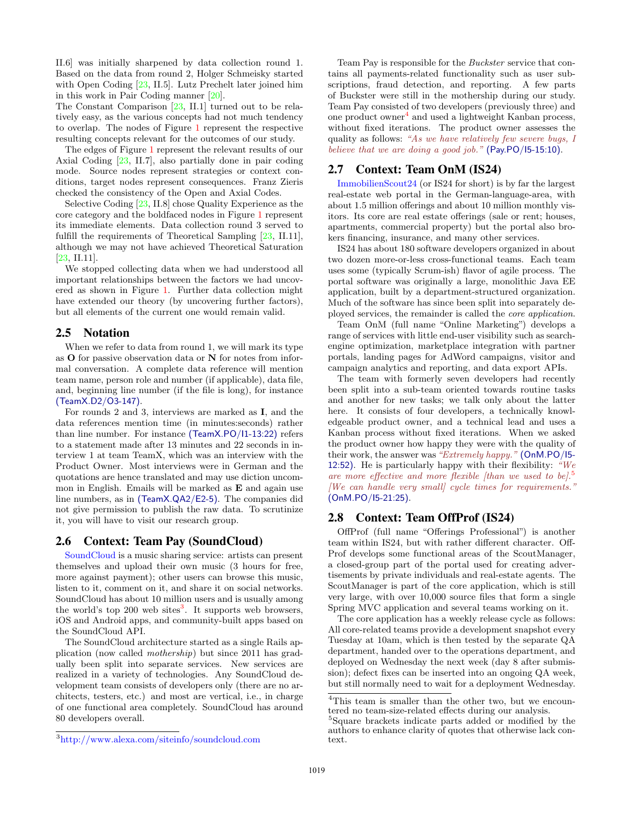II.6] was initially sharpened by data collection round 1. Based on the data from round 2, Holger Schmeisky started with Open Coding [23, II.5]. Lutz Prechelt later joined him in this work in Pair Coding manner [20].

The Constant Comparison [23, II.1] turned out to be relatively easy, as the various concepts had not much tendency to overlap. The nodes of Figure 1 represent the respective resulting concepts relevant for the outcomes of our study.

The edges of Figure 1 represent the relevant results of our Axial Coding [23, II.7], also partially done in pair coding mode. Source nodes represent strategies or context conditions, target nodes represent consequences. Franz Zieris checked the consistency of the Open and Axial Codes.

Selective Coding [23, II.8] chose Quality Experience as the core category and the boldfaced nodes in Figure 1 represent its immediate elements. Data collection round 3 served to fulfill the requirements of Theoretical Sampling [23, II.11], although we may not have achieved Theoretical Saturation [23, II.11].

We stopped collecting data when we had understood all important relationships between the factors we had uncovered as shown in Figure 1. Further data collection might have extended our theory (by uncovering further factors), but all elements of the current one would remain valid.

### 2.5 Notation

When we refer to data from round 1, we will mark its type as O for passive observation data or N for notes from informal conversation. A complete data reference will mention team name, person role and number (if applicable), data file, and, beginning line number (if the file is long), for instance (TeamX.D2/O3-147).

For rounds 2 and 3, interviews are marked as I, and the data references mention time (in minutes:seconds) rather than line number. For instance (TeamX.PO/I1-13:22) refers to a statement made after 13 minutes and 22 seconds in interview 1 at team TeamX, which was an interview with the Product Owner. Most interviews were in German and the quotations are hence translated and may use diction uncommon in English. Emails will be marked as E and again use line numbers, as in (TeamX.QA2/E2-5). The companies did not give permission to publish the raw data. To scrutinize it, you will have to visit our research group.

## 2.6 Context: Team Pay (SoundCloud)

[SoundCloud](http://www.SoundCloud.com) is a music sharing service: artists can present themselves and upload their own music (3 hours for free, more against payment); other users can browse this music, listen to it, comment on it, and share it on social networks. SoundCloud has about 10 million users and is usually among the world's top 200 web sites<sup>3</sup>. It supports web browsers, iOS and Android apps, and community-built apps based on the SoundCloud API.

The SoundCloud architecture started as a single Rails application (now called mothership) but since 2011 has gradually been split into separate services. New services are realized in a variety of technologies. Any SoundCloud development team consists of developers only (there are no architects, testers, etc.) and most are vertical, i.e., in charge of one functional area completely. SoundCloud has around 80 developers overall.

Team Pay is responsible for the Buckster service that contains all payments-related functionality such as user subscriptions, fraud detection, and reporting. A few parts of Buckster were still in the mothership during our study. Team Pay consisted of two developers (previously three) and one product owner<sup>4</sup> and used a lightweight Kanban process, without fixed iterations. The product owner assesses the quality as follows: "As we have relatively few severe bugs, I believe that we are doing a good job." (Pay.PO/I5-15:10).

## 2.7 Context: Team OnM (IS24)

[ImmobilienScout24](http://www.ImmobilienScout24.de) (or IS24 for short) is by far the largest real-estate web portal in the German-language-area, with about 1.5 million offerings and about 10 million monthly visitors. Its core are real estate offerings (sale or rent; houses, apartments, commercial property) but the portal also brokers financing, insurance, and many other services.

IS24 has about 180 software developers organized in about two dozen more-or-less cross-functional teams. Each team uses some (typically Scrum-ish) flavor of agile process. The portal software was originally a large, monolithic Java EE application, built by a department-structured organization. Much of the software has since been split into separately deployed services, the remainder is called the core application.

Team OnM (full name "Online Marketing") develops a range of services with little end-user visibility such as searchengine optimization, marketplace integration with partner portals, landing pages for AdWord campaigns, visitor and campaign analytics and reporting, and data export APIs.

The team with formerly seven developers had recently been split into a sub-team oriented towards routine tasks and another for new tasks; we talk only about the latter here. It consists of four developers, a technically knowledgeable product owner, and a technical lead and uses a Kanban process without fixed iterations. When we asked the product owner how happy they were with the quality of their work, the answer was "Extremely happy." (OnM.PO/I5-12:52). He is particularly happy with their flexibility: "We are more effective and more flexible  $[than \text{ we used to be}].$ <sup>5</sup> [We can handle very small] cycle times for requirements." (OnM.PO/I5-21:25).

# 2.8 Context: Team OffProf (IS24)

OffProf (full name "Offerings Professional") is another team within IS24, but with rather different character. Off-Prof develops some functional areas of the ScoutManager, a closed-group part of the portal used for creating advertisements by private individuals and real-estate agents. The ScoutManager is part of the core application, which is still very large, with over 10,000 source files that form a single Spring MVC application and several teams working on it.

The core application has a weekly release cycle as follows: All core-related teams provide a development snapshot every Tuesday at 10am, which is then tested by the separate QA department, handed over to the operations department, and deployed on Wednesday the next week (day 8 after submission); defect fixes can be inserted into an ongoing QA week, but still normally need to wait for a deployment Wednesday.

<sup>3</sup><http://www.alexa.com/siteinfo/soundcloud.com>

<sup>&</sup>lt;sup>4</sup>This team is smaller than the other two, but we encountered no team-size-related effects during our analysis.

<sup>5</sup>Square brackets indicate parts added or modified by the authors to enhance clarity of quotes that otherwise lack context.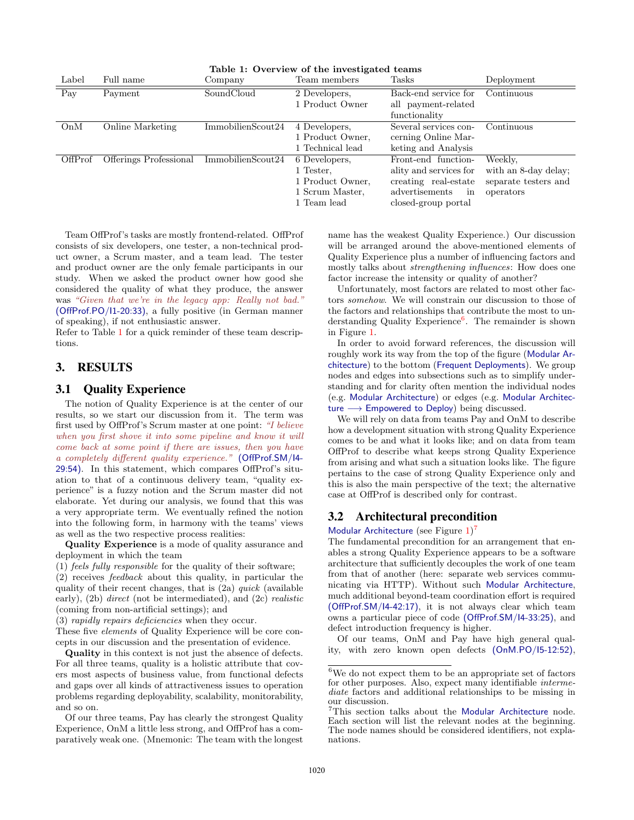| Label   | Full name              | Company           | Table 1: Overview of the investigated teams<br>Team members                      | Tasks                                                                                                                | Deployment                                                           |
|---------|------------------------|-------------------|----------------------------------------------------------------------------------|----------------------------------------------------------------------------------------------------------------------|----------------------------------------------------------------------|
| Pay     | Payment                | SoundCloud        | 2 Developers.<br>1 Product Owner                                                 | Back-end service for<br>all payment-related<br>functionality                                                         | Continuous                                                           |
| OnM     | Online Marketing       | ImmobilienScout24 | 4 Developers,<br>1 Product Owner,<br>1 Technical lead                            | Several services con-<br>cerning Online Mar-<br>keting and Analysis                                                  | Continuous                                                           |
| OffProf | Offerings Professional | ImmobilienScout24 | 6 Developers,<br>1 Tester.<br>1 Product Owner,<br>1 Scrum Master,<br>1 Team lead | Front-end function-<br>ality and services for<br>creating real-estate<br>advertisements<br>in<br>closed-group portal | Weekly,<br>with an 8-day delay;<br>separate testers and<br>operators |

 $T$  Table 1: Overview of the investigation of the investigation of the investigated teams of the investigated teams of the investigation of the investigation of the investigated teams of the investigation of the investiga

Team OffProf's tasks are mostly frontend-related. OffProf consists of six developers, one tester, a non-technical product owner, a Scrum master, and a team lead. The tester and product owner are the only female participants in our study. When we asked the product owner how good she considered the quality of what they produce, the answer was "Given that we're in the legacy app: Really not bad." (OffProf.PO/I1-20:33), a fully positive (in German manner of speaking), if not enthusiastic answer.

Refer to Table 1 for a quick reminder of these team descriptions.

# 3. RESULTS

## 3.1 Quality Experience

The notion of Quality Experience is at the center of our results, so we start our discussion from it. The term was first used by OffProf's Scrum master at one point: "I believe when you first shove it into some pipeline and know it will come back at some point if there are issues, then you have a completely different quality experience." (OffProf.SM/I4- 29:54). In this statement, which compares OffProf's situation to that of a continuous delivery team, "quality experience" is a fuzzy notion and the Scrum master did not elaborate. Yet during our analysis, we found that this was a very appropriate term. We eventually refined the notion into the following form, in harmony with the teams' views as well as the two respective process realities:

Quality Experience is a mode of quality assurance and deployment in which the team

(1) feels fully responsible for the quality of their software;

(2) receives feedback about this quality, in particular the quality of their recent changes, that is  $(2a)$  quick (available early), (2b) *direct* (not be intermediated), and (2c) *realistic* (coming from non-artificial settings); and

(3) rapidly repairs deficiencies when they occur.

These five elements of Quality Experience will be core concepts in our discussion and the presentation of evidence.

Quality in this context is not just the absence of defects. For all three teams, quality is a holistic attribute that covers most aspects of business value, from functional defects and gaps over all kinds of attractiveness issues to operation problems regarding deployability, scalability, monitorability, and so on.

Of our three teams, Pay has clearly the strongest Quality Experience, OnM a little less strong, and OffProf has a comparatively weak one. (Mnemonic: The team with the longest

name has the weakest Quality Experience.) Our discussion will be arranged around the above-mentioned elements of Quality Experience plus a number of influencing factors and mostly talks about strengthening influences: How does one factor increase the intensity or quality of another?

Unfortunately, most factors are related to most other factors somehow. We will constrain our discussion to those of the factors and relationships that contribute the most to understanding Quality Experience<sup>6</sup>. The remainder is shown in Figure 1.

In order to avoid forward references, the discussion will roughly work its way from the top of the figure (Modular Architecture) to the bottom (Frequent Deployments). We group nodes and edges into subsections such as to simplify understanding and for clarity often mention the individual nodes (e.g. Modular Architecture) or edges (e.g. Modular Architecture  $→$  Empowered to Deploy) being discussed.

We will rely on data from teams Pay and OnM to describe how a development situation with strong Quality Experience comes to be and what it looks like; and on data from team OffProf to describe what keeps strong Quality Experience from arising and what such a situation looks like. The figure pertains to the case of strong Quality Experience only and this is also the main perspective of the text; the alternative case at OffProf is described only for contrast.

## 3.2 Architectural precondition

Modular Architecture (see Figure  $1$ <sup>7</sup>

The fundamental precondition for an arrangement that enables a strong Quality Experience appears to be a software architecture that sufficiently decouples the work of one team from that of another (here: separate web services communicating via HTTP). Without such Modular Architecture, much additional beyond-team coordination effort is required (OffProf.SM/I4-42:17), it is not always clear which team owns a particular piece of code (OffProf.SM/I4-33:25), and defect introduction frequency is higher.

Of our teams, OnM and Pay have high general quality, with zero known open defects (OnM.PO/I5-12:52),

<sup>6</sup>We do not expect them to be an appropriate set of factors for other purposes. Also, expect many identifiable intermediate factors and additional relationships to be missing in our discussion.

<sup>7</sup>This section talks about the Modular Architecture node. Each section will list the relevant nodes at the beginning. The node names should be considered identifiers, not explanations.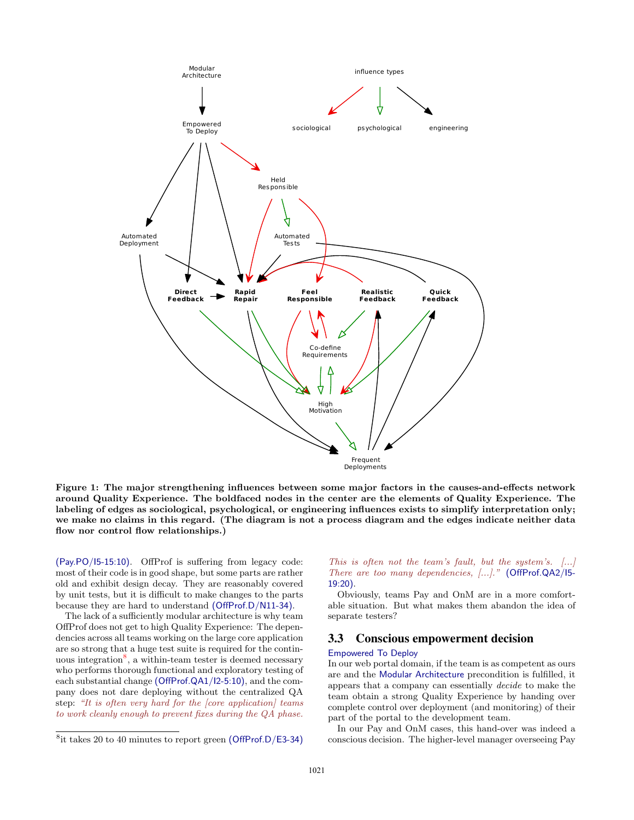

Figure 1: The major strengthening influences between some major factors in the causes-and-effects network around Quality Experience. The boldfaced nodes in the center are the elements of Quality Experience. The labeling of edges as sociological, psychological, or engineering influences exists to simplify interpretation only; we make no claims in this regard. (The diagram is not a process diagram and the edges indicate neither data flow nor control flow relationships.)

(Pay.PO/I5-15:10). OffProf is suffering from legacy code: most of their code is in good shape, but some parts are rather old and exhibit design decay. They are reasonably covered by unit tests, but it is difficult to make changes to the parts because they are hard to understand (OffProf.D/N11-34).

The lack of a sufficiently modular architecture is why team OffProf does not get to high Quality Experience: The dependencies across all teams working on the large core application are so strong that a huge test suite is required for the continuous integration<sup>8</sup>, a within-team tester is deemed necessary who performs thorough functional and exploratory testing of each substantial change (OffProf.QA1/I2-5:10), and the company does not dare deploying without the centralized QA step: "It is often very hard for the [core application] teams to work cleanly enough to prevent fixes during the QA phase.

This is often not the team's fault, but the system's.  $[\dots]$ There are too many dependencies, [...]." (OffProf.QA2/I5- 19:20).

Obviously, teams Pay and OnM are in a more comfortable situation. But what makes them abandon the idea of separate testers?

## 3.3 Conscious empowerment decision

#### Empowered To Deploy

In our web portal domain, if the team is as competent as ours are and the Modular Architecture precondition is fulfilled, it appears that a company can essentially decide to make the team obtain a strong Quality Experience by handing over complete control over deployment (and monitoring) of their part of the portal to the development team.

In our Pay and OnM cases, this hand-over was indeed a conscious decision. The higher-level manager overseeing Pay

 $8$ it takes 20 to 40 minutes to report green (OffProf.D/E3-34)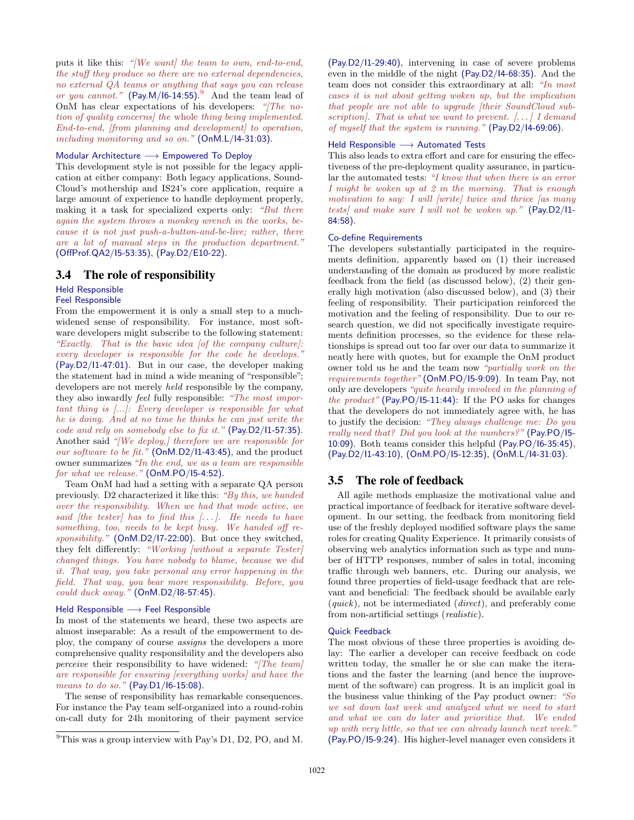puts it like this: "[We want] the team to own, end-to-end, the stuff they produce so there are no external dependencies, no external QA teams or anything that says you can release or you cannot."  $(Pay.M/16-14:55)$ .<sup>9</sup> And the team lead of OnM has clear expectations of his developers: "[The notion of quality concerns] the whole thing being implemented. End-to-end, [from planning and development] to operation, including monitoring and so on." (OnM.L/I4-31:03).

#### Modular Architecture  $→$  Empowered To Deploy

This development style is not possible for the legacy application at either company: Both legacy applications, Sound-Cloud's mothership and IS24's core application, require a large amount of experience to handle deployment properly, making it a task for specialized experts only: "But there again the system throws a monkey wrench in the works, because it is not just push-a-button-and-be-live; rather, there are a lot of manual steps in the production department." (OffProf.QA2/I5-53:35), (Pay.D2/E10-22).

## 3.4 The role of responsibility

# Held Responsible

## Feel Responsible

From the empowerment it is only a small step to a muchwidened sense of responsibility. For instance, most software developers might subscribe to the following statement: "Exactly. That is the basic idea [of the company culture]: every developer is responsible for the code he develops." (Pay.D2/I1-47:01). But in our case, the developer making the statement had in mind a wide meaning of "responsible"; developers are not merely held responsible by the company, they also inwardly feel fully responsible: "The most important thing is [...]: Every developer is responsible for what he is doing. And at no time he thinks he can just write the code and rely on somebody else to fix it." (Pay.D2/I1-57:35). Another said "[We deploy,] therefore we are responsible for our software to be fit." (OnM.D2/I1-43:45), and the product owner summarizes "In the end, we as a team are responsible for what we release." (OnM.PO/I5-4:52).

Team OnM had had a setting with a separate QA person previously. D2 characterized it like this: "By this, we handed over the responsibility. When we had that mode active, we said [the tester] has to find this  $[...]$ . He needs to have something, too, needs to be kept busy. We handed off responsibility." (OnM.D2/I7-22:00). But once they switched, they felt differently: "Working [without a separate Tester] changed things. You have nobody to blame, because we did it. That way, you take personal any error happening in the field. That way, you bear more responsibility. Before, you could duck away." (OnM.D2/I8-57:45).

#### Held Responsible → Feel Responsible

In most of the statements we heard, these two aspects are almost inseparable: As a result of the empowerment to deploy, the company of course assigns the developers a more comprehensive quality responsibility and the developers also perceive their responsibility to have widened: "[The team] are responsible for ensuring [everything works] and have the means to do so." (Pay.D1/16-15:08).

The sense of responsibility has remarkable consequences. For instance the Pay team self-organized into a round-robin on-call duty for 24h monitoring of their payment service (Pay.D2/I1-29:40), intervening in case of severe problems even in the middle of the night (Pay.D2/I4-68:35). And the team does not consider this extraordinary at all: "In most cases it is not about getting woken up, but the implication that people are not able to upgrade [their SoundCloud subscription]. That is what we want to prevent.  $[\dots]$  I demand of myself that the system is running." (Pay.D2/I4-69:06).

#### Held Responsible → Automated Tests

This also leads to extra effort and care for ensuring the effectiveness of the pre-deployment quality assurance, in particular the automated tests: "I know that when there is an error I might be woken up at 2 in the morning. That is enough motivation to say: I will [write] twice and thrice  $\alpha$  many tests] and make sure I will not be woken up." (Pay.D2/I1- 84:58).

#### Co-define Requirements

The developers substantially participated in the requirements definition, apparently based on (1) their increased understanding of the domain as produced by more realistic feedback from the field (as discussed below), (2) their generally high motivation (also discussed below), and (3) their feeling of responsibility. Their participation reinforced the motivation and the feeling of responsibility. Due to our research question, we did not specifically investigate requirements definition processes, so the evidence for these relationships is spread out too far over our data to summarize it neatly here with quotes, but for example the OnM product owner told us he and the team now "partially work on the requirements together" (OnM.PO/I5-9:09). In team Pay, not only are developers "quite heavily involved in the planning of the product" (Pay.PO/I5-11:44): If the PO asks for changes that the developers do not immediately agree with, he has to justify the decision: "They always challenge me: Do you really need that? Did you look at the numbers?" (Pay.PO/I5- 10:09). Both teams consider this helpful (Pay.PO/I6-35:45), (Pay.D2/I1-43:10), (OnM.PO/I5-12:35), (OnM.L/I4-31:03).

#### 3.5 The role of feedback

All agile methods emphasize the motivational value and practical importance of feedback for iterative software development. In our setting, the feedback from monitoring field use of the freshly deployed modified software plays the same roles for creating Quality Experience. It primarily consists of observing web analytics information such as type and number of HTTP responses, number of sales in total, incoming traffic through web banners, etc. During our analysis, we found three properties of field-usage feedback that are relevant and beneficial: The feedback should be available early  $(\text{quick})$ , not be intermediated  $(\text{direct})$ , and preferably come from non-artificial settings (realistic).

#### Quick Feedback

The most obvious of these three properties is avoiding delay: The earlier a developer can receive feedback on code written today, the smaller he or she can make the iterations and the faster the learning (and hence the improvement of the software) can progress. It is an implicit goal in the business value thinking of the Pay product owner: "So we sat down last week and analyzed what we need to start and what we can do later and prioritize that. We ended up with very little, so that we can already launch next week." (Pay.PO/I5-9:24). His higher-level manager even considers it

<sup>&</sup>lt;sup>9</sup>This was a group interview with Pay's D1, D2, PO, and M.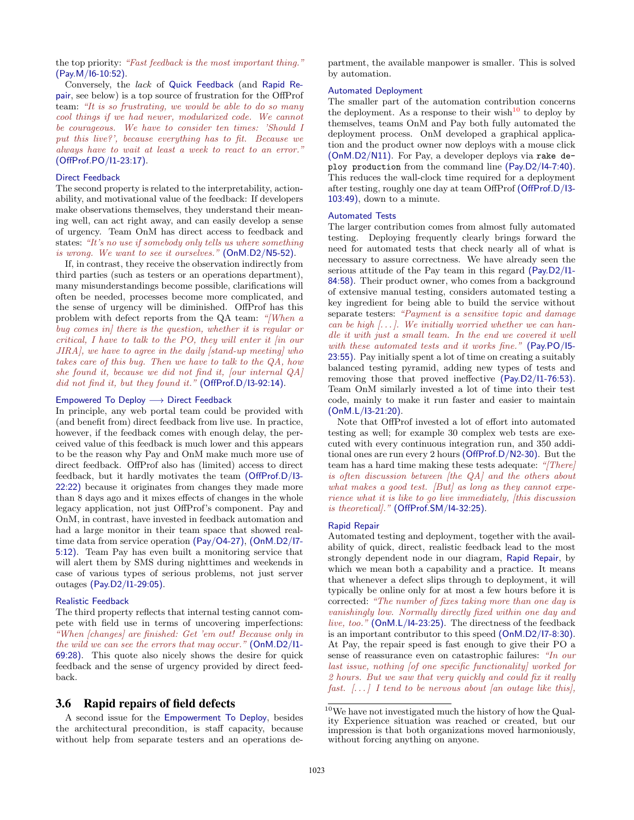the top priority: "Fast feedback is the most important thing." (Pay.M/I6-10:52).

Conversely, the lack of Quick Feedback (and Rapid Repair, see below) is a top source of frustration for the OffProf team: "It is so frustrating, we would be able to do so many cool things if we had newer, modularized code. We cannot be courageous. We have to consider ten times: 'Should I put this live?', because everything has to fit. Because we always have to wait at least a week to react to an error." (OffProf.PO/I1-23:17).

#### Direct Feedback

The second property is related to the interpretability, actionability, and motivational value of the feedback: If developers make observations themselves, they understand their meaning well, can act right away, and can easily develop a sense of urgency. Team OnM has direct access to feedback and states: "It's no use if somebody only tells us where something is wrong. We want to see it ourselves." (OnM.D2/N5-52).

If, in contrast, they receive the observation indirectly from third parties (such as testers or an operations department), many misunderstandings become possible, clarifications will often be needed, processes become more complicated, and the sense of urgency will be diminished. OffProf has this problem with defect reports from the QA team: "[When a bug comes in] there is the question, whether it is regular or critical, I have to talk to the PO, they will enter it [in our JIRA], we have to agree in the daily [stand-up meeting] who takes care of this bug. Then we have to talk to the QA, how she found it, because we did not find it, [our internal QA] did not find it, but they found it." (OffProf.D/I3-92:14).

#### Empowered To Deploy −→ Direct Feedback

In principle, any web portal team could be provided with (and benefit from) direct feedback from live use. In practice, however, if the feedback comes with enough delay, the perceived value of this feedback is much lower and this appears to be the reason why Pay and OnM make much more use of direct feedback. OffProf also has (limited) access to direct feedback, but it hardly motivates the team (OffProf.D/I3- 22:22) because it originates from changes they made more than 8 days ago and it mixes effects of changes in the whole legacy application, not just OffProf's component. Pay and OnM, in contrast, have invested in feedback automation and had a large monitor in their team space that showed realtime data from service operation (Pay/O4-27), (OnM.D2/I7- 5:12). Team Pay has even built a monitoring service that will alert them by SMS during nighttimes and weekends in case of various types of serious problems, not just server outages (Pay.D2/I1-29:05).

#### Realistic Feedback

The third property reflects that internal testing cannot compete with field use in terms of uncovering imperfections: "When [changes] are finished: Get 'em out! Because only in the wild we can see the errors that may occur." (OnM.D2/I1-69:28). This quote also nicely shows the desire for quick feedback and the sense of urgency provided by direct feedback.

## 3.6 Rapid repairs of field defects

A second issue for the Empowerment To Deploy, besides the architectural precondition, is staff capacity, because without help from separate testers and an operations department, the available manpower is smaller. This is solved by automation.

#### Automated Deployment

The smaller part of the automation contribution concerns the deployment. As a response to their wish<sup>10</sup> to deploy by themselves, teams OnM and Pay both fully automated the deployment process. OnM developed a graphical application and the product owner now deploys with a mouse click (OnM.D2/N11). For Pay, a developer deploys via rake deploy production from the command line (Pay.D2/I4-7:40). This reduces the wall-clock time required for a deployment after testing, roughly one day at team OffProf (OffProf.D/I3- 103:49), down to a minute.

#### Automated Tests

The larger contribution comes from almost fully automated testing. Deploying frequently clearly brings forward the need for automated tests that check nearly all of what is necessary to assure correctness. We have already seen the serious attitude of the Pay team in this regard (Pay.D2/I1- 84:58). Their product owner, who comes from a background of extensive manual testing, considers automated testing a key ingredient for being able to build the service without separate testers: "Payment is a sensitive topic and damage can be high  $[...]$ . We initially worried whether we can handle it with just a small team. In the end we covered it well with these automated tests and it works fine." (Pay.PO/I5-23:55). Pay initially spent a lot of time on creating a suitably balanced testing pyramid, adding new types of tests and removing those that proved ineffective (Pay.D2/I1-76:53). Team OnM similarly invested a lot of time into their test code, mainly to make it run faster and easier to maintain (OnM.L/I3-21:20).

Note that OffProf invested a lot of effort into automated testing as well; for example 30 complex web tests are executed with every continuous integration run, and 350 additional ones are run every 2 hours (OffProf.D/N2-30). But the team has a hard time making these tests adequate: "[There] is often discussion between [the QA] and the others about what makes a good test.  $|But|$  as long as they cannot experience what it is like to go live immediately, [this discussion is theoretical]." (OffProf.SM/I4-32:25).

#### Rapid Repair

Automated testing and deployment, together with the availability of quick, direct, realistic feedback lead to the most strongly dependent node in our diagram, Rapid Repair, by which we mean both a capability and a practice. It means that whenever a defect slips through to deployment, it will typically be online only for at most a few hours before it is corrected: "The number of fixes taking more than one day is vanishingly low. Normally directly fixed within one day and live, too." (OnM.L/I4-23:25). The directness of the feedback is an important contributor to this speed (OnM.D2/I7-8:30). At Pay, the repair speed is fast enough to give their PO a sense of reassurance even on catastrophic failures: "In our last issue, nothing [of one specific functionality] worked for 2 hours. But we saw that very quickly and could fix it really fast.  $[...]$  I tend to be nervous about [an outage like this],

 $10$ We have not investigated much the history of how the Quality Experience situation was reached or created, but our impression is that both organizations moved harmoniously, without forcing anything on anyone.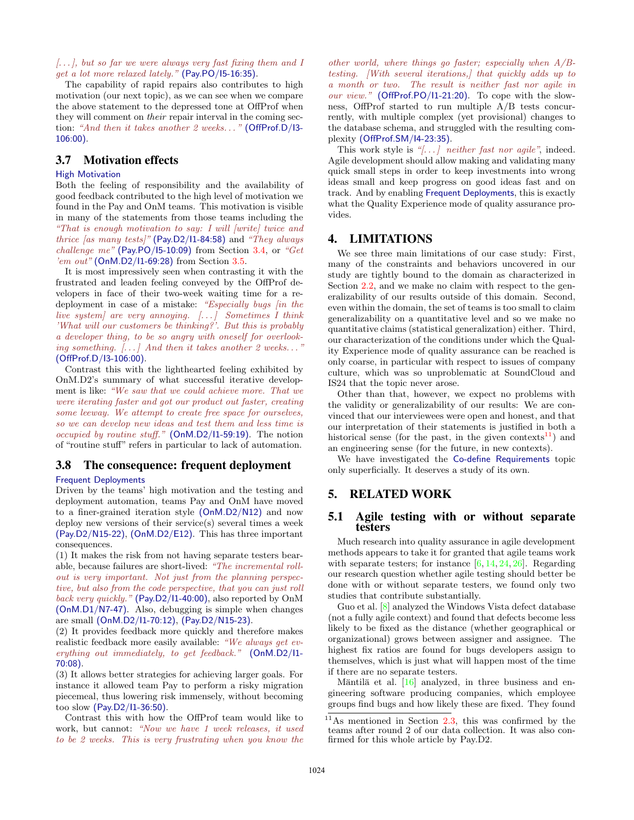$[...]$ , but so far we were always very fast fixing them and I get a lot more relaxed lately." (Pay.PO/I5-16:35).

The capability of rapid repairs also contributes to high motivation (our next topic), as we can see when we compare the above statement to the depressed tone at OffProf when they will comment on their repair interval in the coming section: "And then it takes another 2 weeks. . . " (OffProf.D/I3- 106:00).

## 3.7 Motivation effects

#### High Motivation

Both the feeling of responsibility and the availability of good feedback contributed to the high level of motivation we found in the Pay and OnM teams. This motivation is visible in many of the statements from those teams including the "That is enough motivation to say: I will [write] twice and thrice [as many tests]" (Pay.D2/I1-84:58) and "They always challenge me" (Pay.PO/I5-10:09) from Section 3.4, or "Get 'em out" (OnM.D2/I1-69:28) from Section 3.5.

It is most impressively seen when contrasting it with the frustrated and leaden feeling conveyed by the OffProf developers in face of their two-week waiting time for a redeployment in case of a mistake: "Especially bugs [in the  $live\ system\$  are very annoying.  $[...]\$  Sometimes I think 'What will our customers be thinking?'. But this is probably a developer thing, to be so angry with oneself for overlooking something.  $[\dots]$  And then it takes another 2 weeks...' (OffProf.D/I3-106:00).

Contrast this with the lighthearted feeling exhibited by OnM.D2's summary of what successful iterative development is like: "We saw that we could achieve more. That we were iterating faster and got our product out faster, creating some leeway. We attempt to create free space for ourselves, so we can develop new ideas and test them and less time is occupied by routine stuff." (OnM.D2/I1-59:19). The notion of "routine stuff" refers in particular to lack of automation.

## 3.8 The consequence: frequent deployment

#### Frequent Deployments

Driven by the teams' high motivation and the testing and deployment automation, teams Pay and OnM have moved to a finer-grained iteration style (OnM.D2/N12) and now deploy new versions of their service(s) several times a week (Pay.D2/N15-22), (OnM.D2/E12). This has three important consequences

(1) It makes the risk from not having separate testers bearable, because failures are short-lived: "The incremental rollout is very important. Not just from the planning perspective, but also from the code perspective, that you can just roll back very quickly." (Pay.D2/I1-40:00), also reported by OnM (OnM.D1/N7-47). Also, debugging is simple when changes are small (OnM.D2/I1-70:12), (Pay.D2/N15-23).

(2) It provides feedback more quickly and therefore makes realistic feedback more easily available: "We always get everything out immediately, to get feedback." (OnM.D2/I1- 70:08).

(3) It allows better strategies for achieving larger goals. For instance it allowed team Pay to perform a risky migration piecemeal, thus lowering risk immensely, without becoming too slow (Pay.D2/I1-36:50).

Contrast this with how the OffProf team would like to work, but cannot: "Now we have 1 week releases, it used to be 2 weeks. This is very frustrating when you know the

other world, where things go faster; especially when  $A/B$ testing. [With several iterations,] that quickly adds up to a month or two. The result is neither fast nor agile in our view." (OffProf.PO/I1-21:20). To cope with the slowness, OffProf started to run multiple A/B tests concurrently, with multiple complex (yet provisional) changes to the database schema, and struggled with the resulting complexity (OffProf.SM/I4-23:35).

This work style is " $\ldots$ ) neither fast nor agile", indeed. Agile development should allow making and validating many quick small steps in order to keep investments into wrong ideas small and keep progress on good ideas fast and on track. And by enabling Frequent Deployments, this is exactly what the Quality Experience mode of quality assurance provides.

# 4. LIMITATIONS

We see three main limitations of our case study: First, many of the constraints and behaviors uncovered in our study are tightly bound to the domain as characterized in Section 2.2, and we make no claim with respect to the generalizability of our results outside of this domain. Second, even within the domain, the set of teams is too small to claim generalizability on a quantitative level and so we make no quantitative claims (statistical generalization) either. Third, our characterization of the conditions under which the Quality Experience mode of quality assurance can be reached is only coarse, in particular with respect to issues of company culture, which was so unproblematic at SoundCloud and IS24 that the topic never arose.

Other than that, however, we expect no problems with the validity or generalizability of our results: We are convinced that our interviewees were open and honest, and that our interpretation of their statements is justified in both a historical sense (for the past, in the given contexts<sup>11</sup>) and an engineering sense (for the future, in new contexts).

We have investigated the Co-define Requirements topic only superficially. It deserves a study of its own.

# 5. RELATED WORK

## 5.1 Agile testing with or without separate testers

Much research into quality assurance in agile development methods appears to take it for granted that agile teams work with separate testers; for instance [6, 14, 24, 26]. Regarding our research question whether agile testing should better be done with or without separate testers, we found only two studies that contribute substantially.

Guo et al. [8] analyzed the Windows Vista defect database (not a fully agile context) and found that defects become less likely to be fixed as the distance (whether geographical or organizational) grows between assigner and assignee. The highest fix ratios are found for bugs developers assign to themselves, which is just what will happen most of the time if there are no separate testers.

Mäntilä et al.  $[16]$  analyzed, in three business and engineering software producing companies, which employee groups find bugs and how likely these are fixed. They found

 $11\text{As mentioned in Section 2.3, this was confirmed by the}$ teams after round 2 of our data collection. It was also confirmed for this whole article by Pay.D2.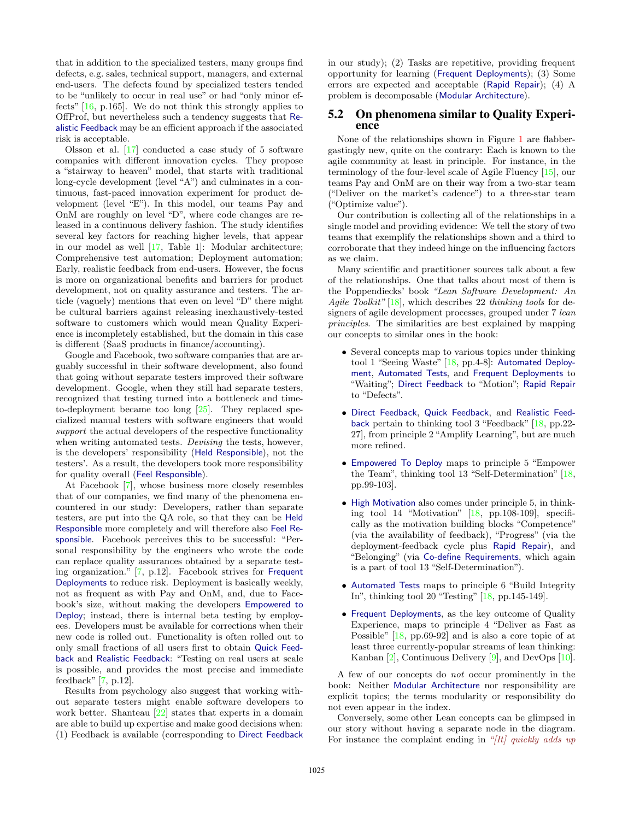that in addition to the specialized testers, many groups find defects, e.g. sales, technical support, managers, and external end-users. The defects found by specialized testers tended to be "unlikely to occur in real use" or had "only minor effects" [16, p.165]. We do not think this strongly applies to OffProf, but nevertheless such a tendency suggests that Realistic Feedback may be an efficient approach if the associated risk is acceptable.

Olsson et al. [17] conducted a case study of 5 software companies with different innovation cycles. They propose a "stairway to heaven" model, that starts with traditional long-cycle development (level "A") and culminates in a continuous, fast-paced innovation experiment for product development (level "E"). In this model, our teams Pay and OnM are roughly on level "D", where code changes are released in a continuous delivery fashion. The study identifies several key factors for reaching higher levels, that appear in our model as well [17, Table 1]: Modular architecture; Comprehensive test automation; Deployment automation; Early, realistic feedback from end-users. However, the focus is more on organizational benefits and barriers for product development, not on quality assurance and testers. The article (vaguely) mentions that even on level "D" there might be cultural barriers against releasing inexhaustively-tested software to customers which would mean Quality Experience is incompletely established, but the domain in this case is different (SaaS products in finance/accounting).

Google and Facebook, two software companies that are arguably successful in their software development, also found that going without separate testers improved their software development. Google, when they still had separate testers, recognized that testing turned into a bottleneck and timeto-deployment became too long [25]. They replaced specialized manual testers with software engineers that would support the actual developers of the respective functionality when writing automated tests. *Devising* the tests, however, is the developers' responsibility (Held Responsible), not the testers'. As a result, the developers took more responsibility for quality overall (Feel Responsible).

At Facebook [7], whose business more closely resembles that of our companies, we find many of the phenomena encountered in our study: Developers, rather than separate testers, are put into the QA role, so that they can be Held Responsible more completely and will therefore also Feel Responsible. Facebook perceives this to be successful: "Personal responsibility by the engineers who wrote the code can replace quality assurances obtained by a separate testing organization." [7, p.12]. Facebook strives for Frequent Deployments to reduce risk. Deployment is basically weekly, not as frequent as with Pay and OnM, and, due to Facebook's size, without making the developers Empowered to Deploy; instead, there is internal beta testing by employees. Developers must be available for corrections when their new code is rolled out. Functionality is often rolled out to only small fractions of all users first to obtain Quick Feedback and Realistic Feedback: "Testing on real users at scale is possible, and provides the most precise and immediate feedback" [7, p.12].

Results from psychology also suggest that working without separate testers might enable software developers to work better. Shanteau [22] states that experts in a domain are able to build up expertise and make good decisions when: (1) Feedback is available (corresponding to Direct Feedback in our study); (2) Tasks are repetitive, providing frequent opportunity for learning (Frequent Deployments); (3) Some errors are expected and acceptable (Rapid Repair); (4) A problem is decomposable (Modular Architecture).

## 5.2 On phenomena similar to Quality Experience

None of the relationships shown in Figure 1 are flabbergastingly new, quite on the contrary: Each is known to the agile community at least in principle. For instance, in the terminology of the four-level scale of Agile Fluency [15], our teams Pay and OnM are on their way from a two-star team ("Deliver on the market's cadence") to a three-star team ("Optimize value").

Our contribution is collecting all of the relationships in a single model and providing evidence: We tell the story of two teams that exemplify the relationships shown and a third to corroborate that they indeed hinge on the influencing factors as we claim.

Many scientific and practitioner sources talk about a few of the relationships. One that talks about most of them is the Poppendiecks' book "Lean Software Development: An Agile Toolkit"  $[18]$ , which describes 22 thinking tools for designers of agile development processes, grouped under 7 lean principles. The similarities are best explained by mapping our concepts to similar ones in the book:

- Several concepts map to various topics under thinking tool 1 "Seeing Waste" [18, pp.4-8]: Automated Deployment, Automated Tests, and Frequent Deployments to "Waiting"; Direct Feedback to "Motion"; Rapid Repair to "Defects".
- Direct Feedback, Quick Feedback, and Realistic Feedback pertain to thinking tool 3 "Feedback" [18, pp.22- 27], from principle 2 "Amplify Learning", but are much more refined.
- Empowered To Deploy maps to principle 5 "Empower the Team", thinking tool 13 "Self-Determination" [18, pp.99-103].
- High Motivation also comes under principle 5, in thinking tool 14 "Motivation" [18, pp.108-109], specifically as the motivation building blocks "Competence" (via the availability of feedback), "Progress" (via the deployment-feedback cycle plus Rapid Repair), and "Belonging" (via Co-define Requirements, which again is a part of tool 13 "Self-Determination").
- Automated Tests maps to principle 6 "Build Integrity In", thinking tool 20 "Testing" [18, pp.145-149].
- Frequent Deployments, as the key outcome of Quality Experience, maps to principle 4 "Deliver as Fast as Possible" [18, pp.69-92] and is also a core topic of at least three currently-popular streams of lean thinking: Kanban [2], Continuous Delivery [9], and DevOps [10].

A few of our concepts do not occur prominently in the book: Neither Modular Architecture nor responsibility are explicit topics; the terms modularity or responsibility do not even appear in the index.

Conversely, some other Lean concepts can be glimpsed in our story without having a separate node in the diagram. For instance the complaint ending in "[It] quickly adds up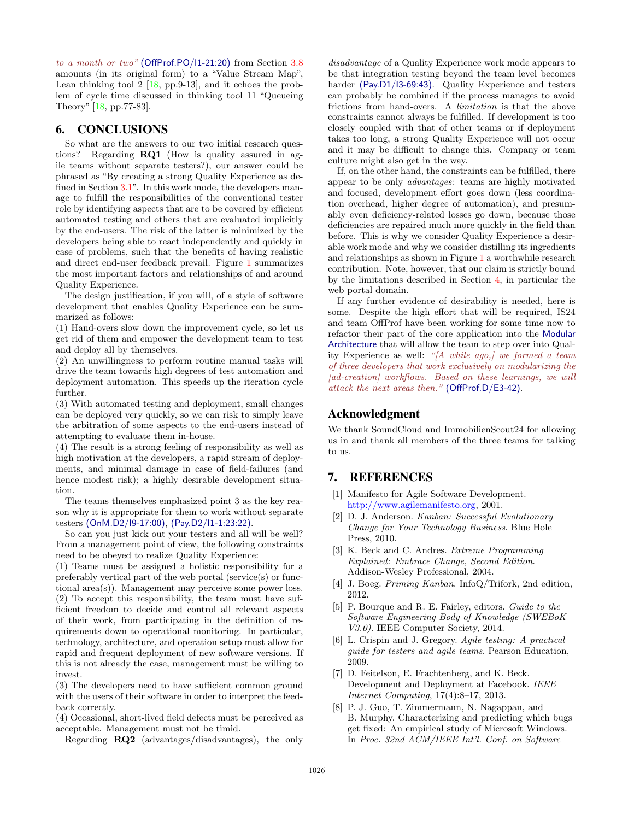to a month or two" (OffProf.PO/I1-21:20) from Section 3.8 amounts (in its original form) to a "Value Stream Map", Lean thinking tool 2 [18, pp.9-13], and it echoes the problem of cycle time discussed in thinking tool 11 "Queueing Theory" [18, pp.77-83].

# 6. CONCLUSIONS

So what are the answers to our two initial research questions? Regarding RQ1 (How is quality assured in agile teams without separate testers?), our answer could be phrased as "By creating a strong Quality Experience as defined in Section 3.1". In this work mode, the developers manage to fulfill the responsibilities of the conventional tester role by identifying aspects that are to be covered by efficient automated testing and others that are evaluated implicitly by the end-users. The risk of the latter is minimized by the developers being able to react independently and quickly in case of problems, such that the benefits of having realistic and direct end-user feedback prevail. Figure 1 summarizes the most important factors and relationships of and around Quality Experience.

The design justification, if you will, of a style of software development that enables Quality Experience can be summarized as follows:

(1) Hand-overs slow down the improvement cycle, so let us get rid of them and empower the development team to test and deploy all by themselves.

(2) An unwillingness to perform routine manual tasks will drive the team towards high degrees of test automation and deployment automation. This speeds up the iteration cycle further.

(3) With automated testing and deployment, small changes can be deployed very quickly, so we can risk to simply leave the arbitration of some aspects to the end-users instead of attempting to evaluate them in-house.

(4) The result is a strong feeling of responsibility as well as high motivation at the developers, a rapid stream of deployments, and minimal damage in case of field-failures (and hence modest risk); a highly desirable development situation.

The teams themselves emphasized point 3 as the key reason why it is appropriate for them to work without separate testers (OnM.D2/I9-17:00), (Pay.D2/I1-1:23:22).

So can you just kick out your testers and all will be well? From a management point of view, the following constraints need to be obeyed to realize Quality Experience:

(1) Teams must be assigned a holistic responsibility for a preferably vertical part of the web portal (service(s) or functional area(s)). Management may perceive some power loss. (2) To accept this responsibility, the team must have sufficient freedom to decide and control all relevant aspects of their work, from participating in the definition of requirements down to operational monitoring. In particular, technology, architecture, and operation setup must allow for rapid and frequent deployment of new software versions. If this is not already the case, management must be willing to invest.

(3) The developers need to have sufficient common ground with the users of their software in order to interpret the feedback correctly.

(4) Occasional, short-lived field defects must be perceived as acceptable. Management must not be timid.

Regarding RQ2 (advantages/disadvantages), the only

disadvantage of a Quality Experience work mode appears to be that integration testing beyond the team level becomes harder (Pay.D1/I3-69:43). Quality Experience and testers can probably be combined if the process manages to avoid frictions from hand-overs. A limitation is that the above constraints cannot always be fulfilled. If development is too closely coupled with that of other teams or if deployment takes too long, a strong Quality Experience will not occur and it may be difficult to change this. Company or team culture might also get in the way.

If, on the other hand, the constraints can be fulfilled, there appear to be only advantages: teams are highly motivated and focused, development effort goes down (less coordination overhead, higher degree of automation), and presumably even deficiency-related losses go down, because those deficiencies are repaired much more quickly in the field than before. This is why we consider Quality Experience a desirable work mode and why we consider distilling its ingredients and relationships as shown in Figure 1 a worthwhile research contribution. Note, however, that our claim is strictly bound by the limitations described in Section 4, in particular the web portal domain.

If any further evidence of desirability is needed, here is some. Despite the high effort that will be required, IS24 and team OffProf have been working for some time now to refactor their part of the core application into the Modular Architecture that will allow the team to step over into Quality Experience as well: "[A while ago,] we formed a team of three developers that work exclusively on modularizing the [ad-creation] workflows. Based on these learnings, we will attack the next areas then." (OffProf.D/E3-42).

# Acknowledgment

We thank SoundCloud and ImmobilienScout24 for allowing us in and thank all members of the three teams for talking to us.

# 7. REFERENCES

- [1] Manifesto for Agile Software Development. [http://www.agilemanifesto.org,](http://www.agilemanifesto.org) 2001.
- [2] D. J. Anderson. Kanban: Successful Evolutionary Change for Your Technology Business. Blue Hole Press, 2010.
- [3] K. Beck and C. Andres. Extreme Programming Explained: Embrace Change, Second Edition. Addison-Wesley Professional, 2004.
- [4] J. Boeg. *Priming Kanban*. InfoQ/Trifork, 2nd edition, 2012.
- [5] P. Bourque and R. E. Fairley, editors. Guide to the Software Engineering Body of Knowledge (SWEBoK V3.0). IEEE Computer Society, 2014.
- [6] L. Crispin and J. Gregory. Agile testing: A practical guide for testers and agile teams. Pearson Education, 2009.
- [7] D. Feitelson, E. Frachtenberg, and K. Beck. Development and Deployment at Facebook. IEEE Internet Computing, 17(4):8–17, 2013.
- [8] P. J. Guo, T. Zimmermann, N. Nagappan, and B. Murphy. Characterizing and predicting which bugs get fixed: An empirical study of Microsoft Windows. In Proc. 32nd ACM/IEEE Int'l. Conf. on Software